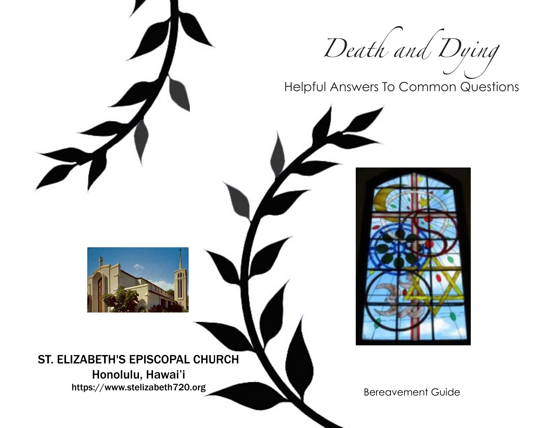

Helpful Answers To Common Questions



Honolulu, Hawai'i https://www.stelizabeth720.org<br>Bereavement Guide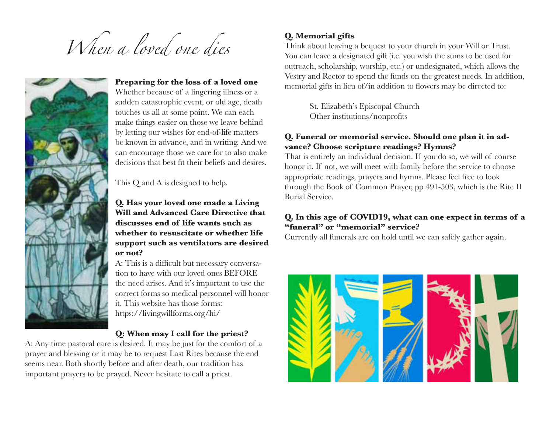



#### **Preparing for the loss of a loved one** Whether because of a lingering illness or a

sudden catastrophic event, or old age, death touches us all at some point. We can each make things easier on those we leave behind by letting our wishes for end-of-life matters be known in advance, and in writing. And we can encourage those we care for to also make decisions that best fit their beliefs and desires.

This Q and A is designed to help.

#### **Q. Has your loved one made a Living Will and Advanced Care Directive that discusses end of life wants such as whether to resuscitate or whether life support such as ventilators are desired or not?**

A: This is a difficult but necessary conversation to have with our loved ones BEFORE the need arises. And it's important to use the correct forms so medical personnel will honor it. This website has those forms: https://livingwillforms.org/hi/

## **Q: When may I call for the priest?**

A: Any time pastoral care is desired. It may be just for the comfort of a prayer and blessing or it may be to request Last Rites because the end seems near. Both shortly before and after death, our tradition has important prayers to be prayed. Never hesitate to call a priest.

# **Q. Memorial gifts**

Think about leaving a bequest to your church in your Will or Trust. You can leave a designated gift (i.e. you wish the sums to be used for outreach, scholarship, worship, etc.) or undesignated, which allows the Vestry and Rector to spend the funds on the greatest needs. In addition, memorial gifts in lieu of/in addition to flowers may be directed to:

> St. Elizabeth's Episcopal Church Other institutions/nonprofits

## **Q. Funeral or memorial service. Should one plan it in advance? Choose scripture readings? Hymns?**

That is entirely an individual decision. If you do so, we will of course honor it. If not, we will meet with family before the service to choose appropriate readings, prayers and hymns. Please feel free to look through the Book of Common Prayer, pp 491-503, which is the Rite II Burial Service.

#### **Q. In this age of COVID19, what can one expect in terms of a "funeral" or "memorial" service?**

Currently all funerals are on hold until we can safely gather again.

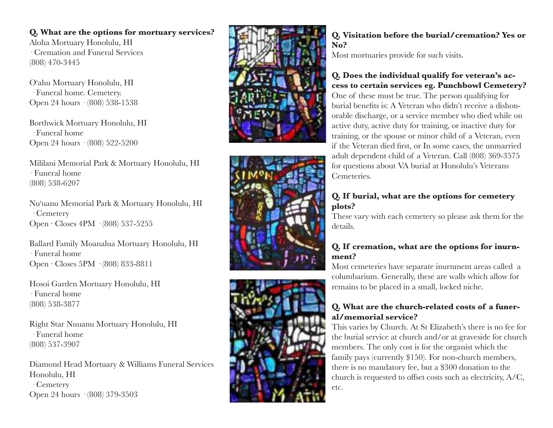#### **Q. What are the options for mortuary services?**

Aloha Mortuary Honolulu, HI · Cremation and Funeral Services (808) 470-3445

Oʻahu Mortuary Honolulu, HI · Funeral home. Cemetery. Open 24 hours · (808) 538-1538

Borthwick Mortuary Honolulu, HI · Funeral home Open 24 hours · (808) 522-5200

Mililani Memorial Park & Mortuary Honolulu, HI · Funeral home (808) 538-6207

Nuʻuanu Memorial Park & Mortuary Honolulu, HI · Cemetery Open ⋅ Closes 4PM · (808) 537-5255

Ballard Family Moanalua Mortuary Honolulu, HI · Funeral home Open ⋅ Closes 5PM · (808) 833-8811

Hosoi Garden Mortuary Honolulu, HI · Funeral home (808) 538-3877

Right Star Nuuanu Mortuary Honolulu, HI · Funeral home (808) 537-3907

Diamond Head Mortuary & Williams Funeral Services Honolulu, HI · Cemetery Open 24 hours · (808) 379-3503







## **Q. Visitation before the burial/cremation? Yes or No?**

Most mortuaries provide for such visits.

## **Q. Does the individual qualify for veteran's ac cess to certain services eg. Punchbowl Cemetery?**

One of these must be true. The person qualifying for burial benefits is: A Veteran who didn't receive a dishon orable discharge, or a service member who died while on active duty, active duty for training, or inactive duty for training, or the spouse or minor child of a Veteran, even if the Veteran died first, or In some cases, the unmarried adult dependent child of a Veteran. Call (808) 369-3575 for questions about VA burial at Honolulu's Veterans Cemeteries.

## **Q. If burial, what are the options for cemetery plots?**

These vary with each cemetery so please ask them for the details.

## **Q. If cremation, what are the options for inurn ment?**

Most cemeteries have separate inurnment areas called a columbarium. Generally, these are walls which allow for remains to be placed in a small, locked niche.

## **Q. What are the church-related costs of a funer al/memorial service?**

This varies by Church. At St Elizabeth's there is no fee for the burial service at church and/or at graveside for church members. The only cost is for the organist which the family pays (currently \$150). For non-church members, there is no mandatory fee, but a \$300 donation to the church is requested to offset costs such as electricity, A/C, etc.